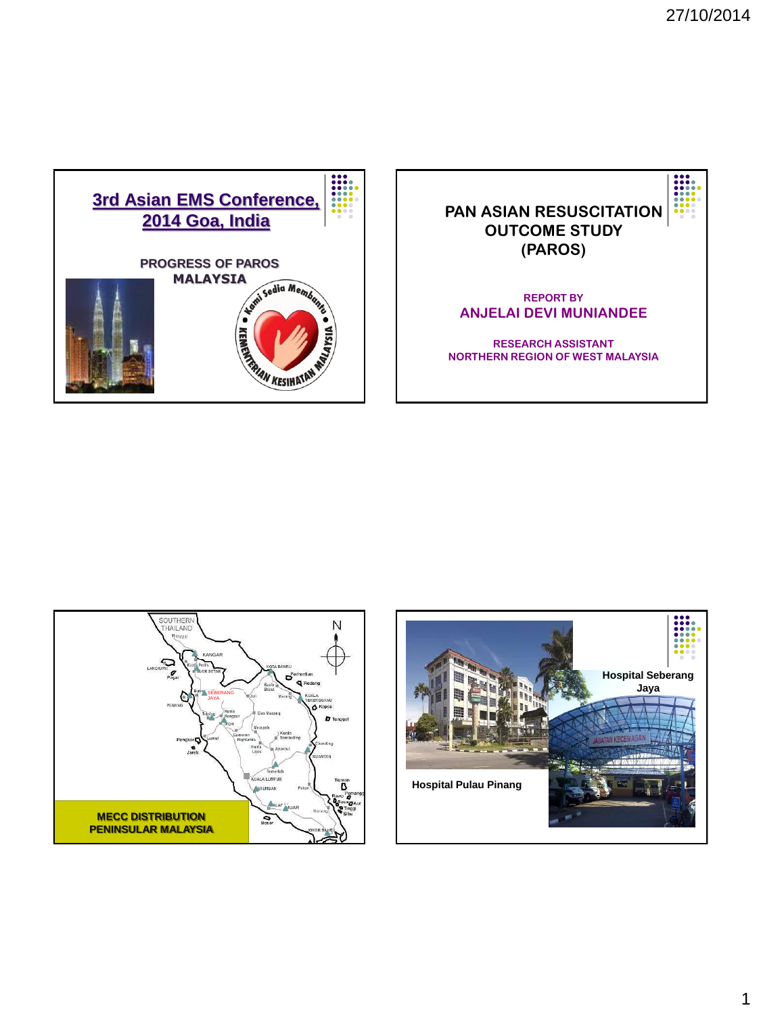





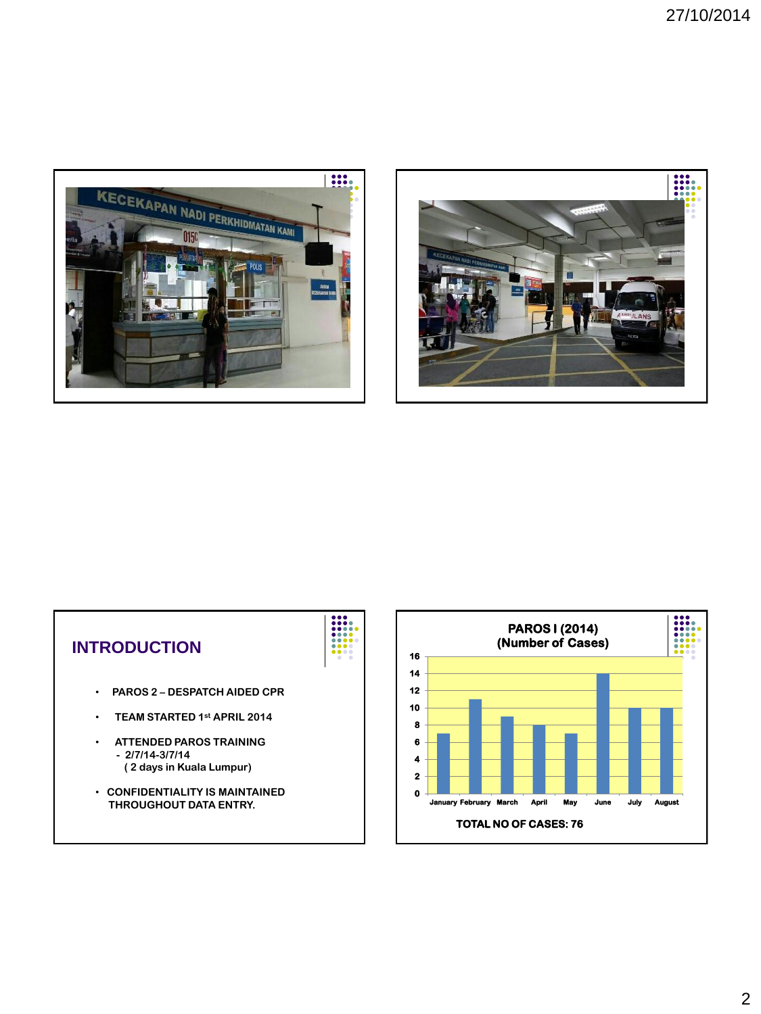





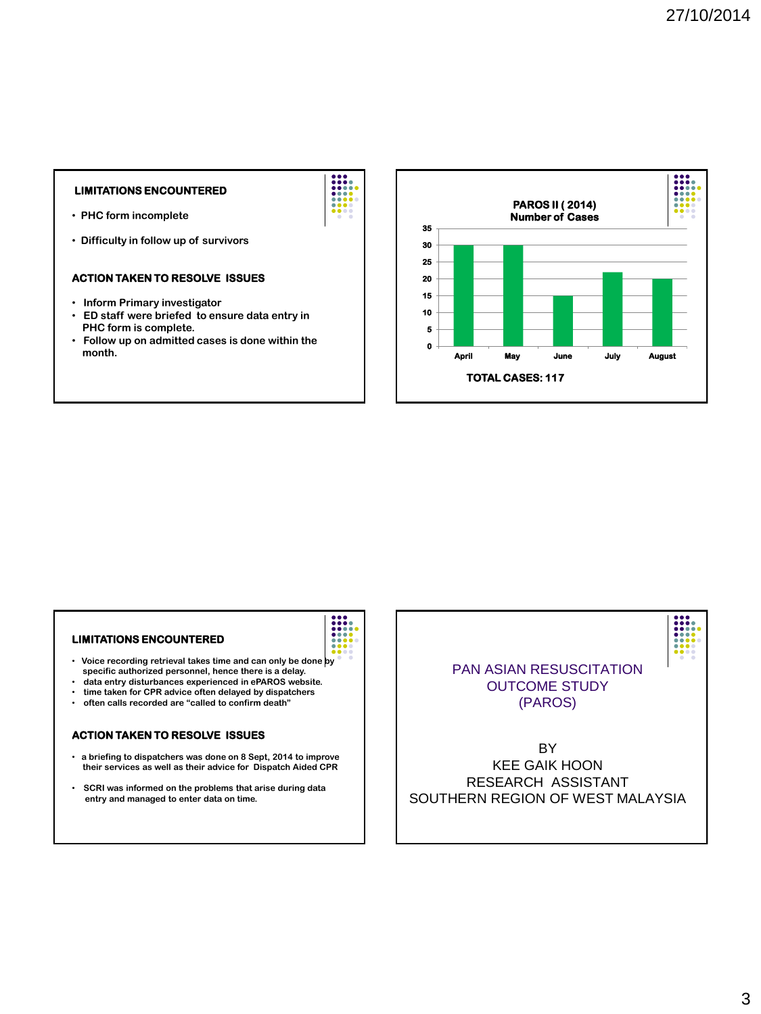# **LIMITATIONS ENCOUNTERED**

- • **PHC form incomplete**
- • **Difficulty in follow up of survivors**

### **ACTION TAKEN TO RESOLVE ISSUES**

- • **Inform Primary investigator**
- • **ED staff were briefed to ensure data entry in PHC form is complete.**
- • **Follow up on admitted cases is done within the month.**



#### **LIMITATIONS ENCOUNTERED**

- • **Voice recording retrieval takes time and can only be done by specific authorized personnel, hence there is a delay.**
- • **data entry disturbances experienced in ePAROS website.**
- • **time taken for CPR advice often delayed by dispatchers**
- • **often calls recorded are "called to confirm death"**

# **ACTION TAKEN TO RESOLVE ISSUES**

- • **a briefing to dispatchers was done on 8 Sept, 2014 to improve their services as well as their advice for Dispatch Aided CPR**
- • **SCRI was informed on the problems that arise during data entry and managed to enter data on time.**

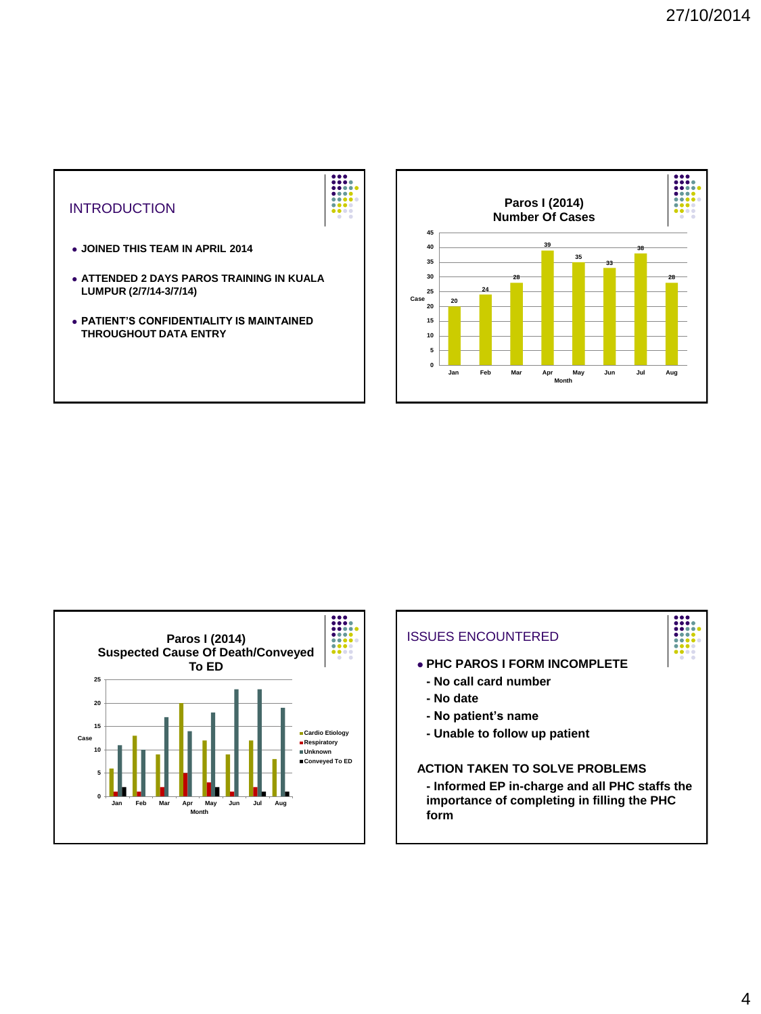



**20**

**24**

**28**

**39**

**Paros I (2014) Number Of Cases**

**35**

**Jan Feb Mar Apr May Jun Jul Aug**

**Month**

**33**

**38**

**28**

i

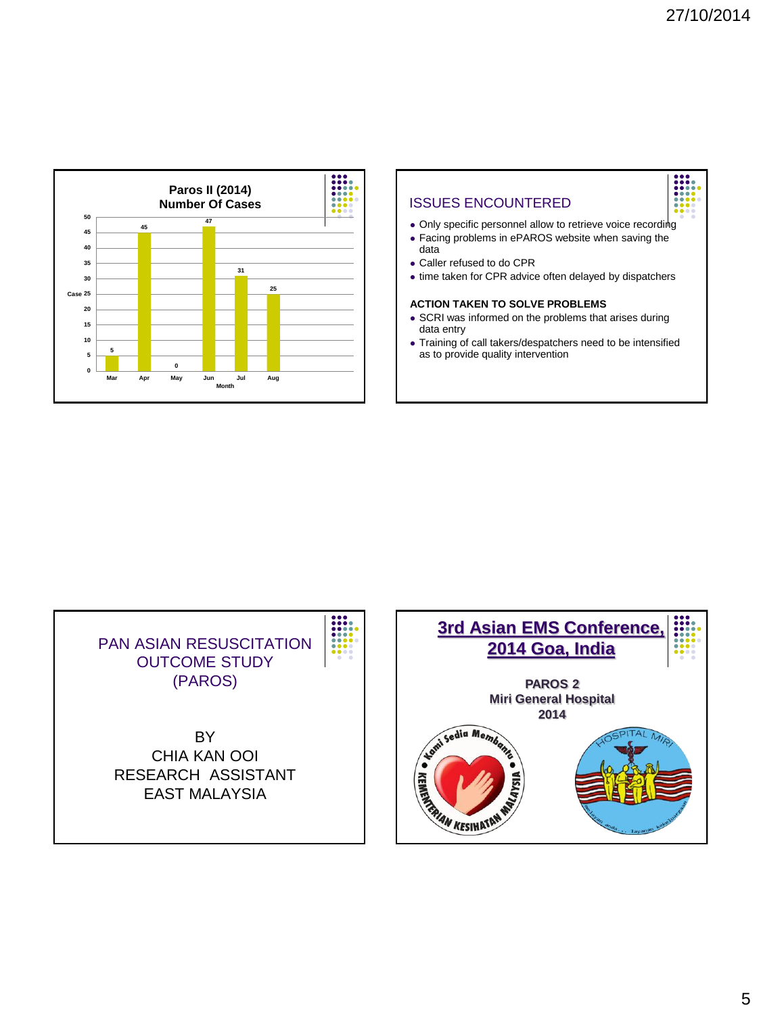





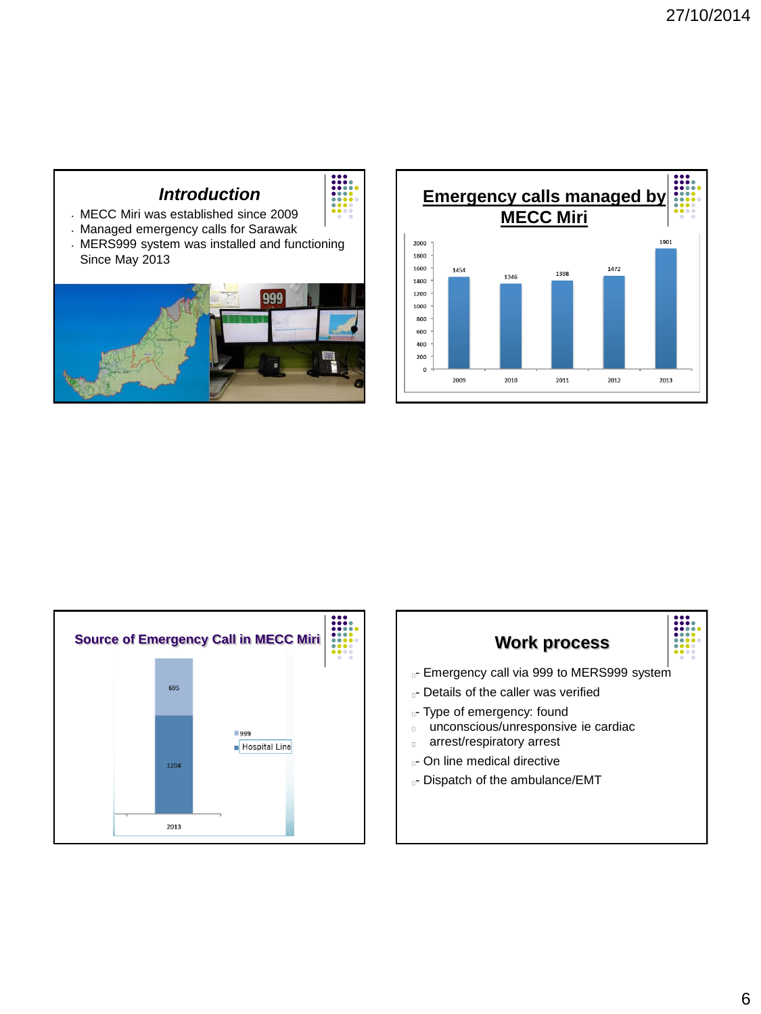





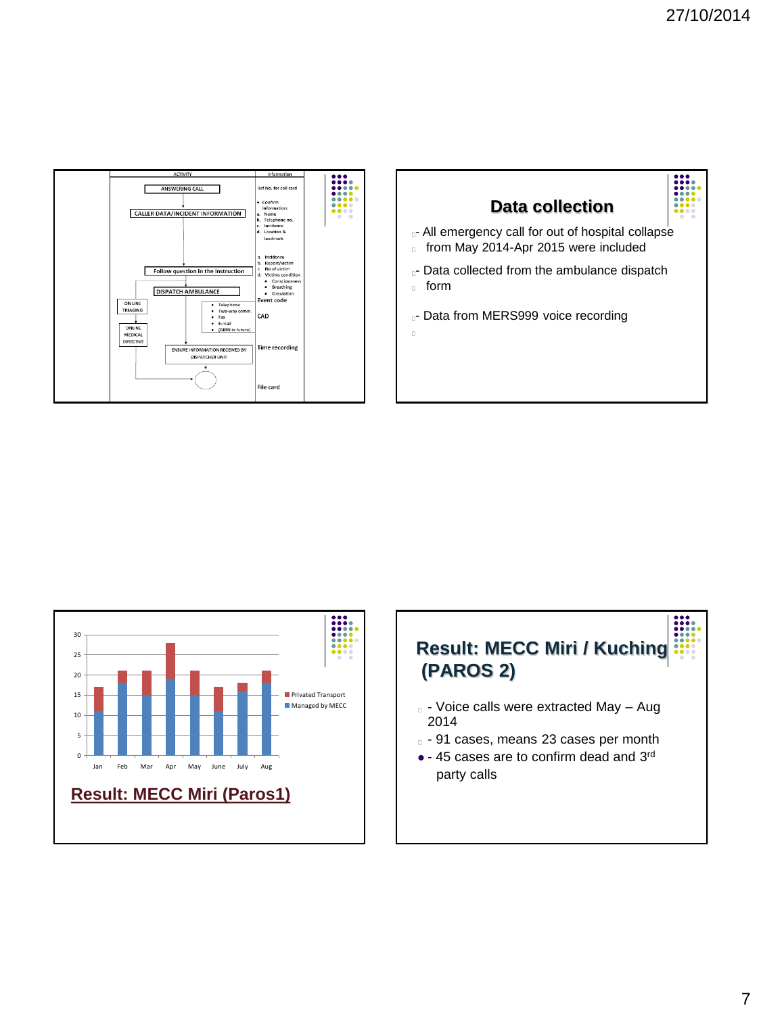





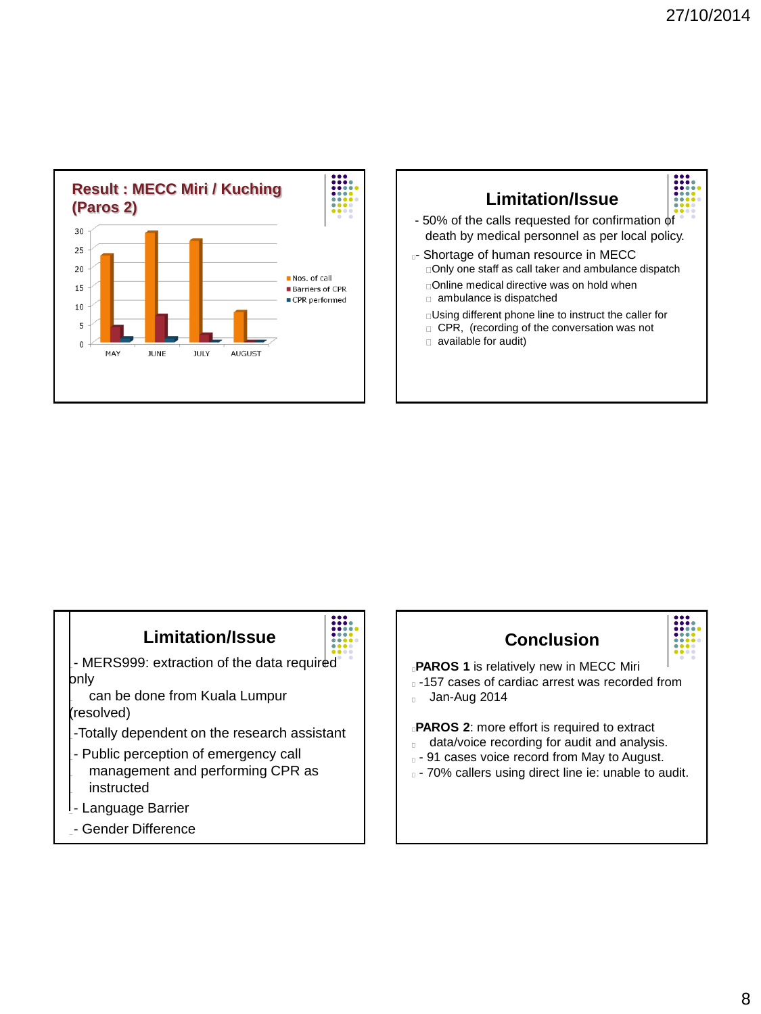



# **Limitation/Issue**

- MERS999: extraction of the data required only

 can be done from Kuala Lumpur (resolved)

- -Totally dependent on the research assistant
- Public perception of emergency call management and performing CPR as instructed

- dispatcher non compliance to SOP

- Language Barrier
- Gender Difference





**PAROS 1** is relatively new in MECC Miri

-157 cases of cardiac arrest was recorded from **Jan-Aug 2014** 

**PAROS 2**: more effort is required to extract

- data/voice recording for audit and analysis.
- $\Box$  91 cases voice record from May to August.
- $\overline{a}$  70% callers using direct line ie: unable to audit.